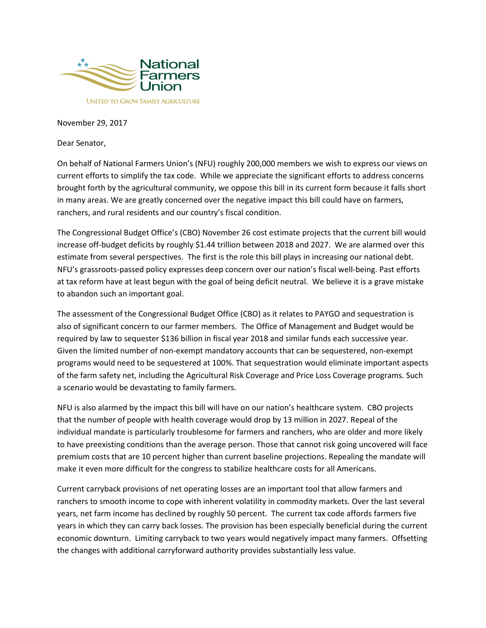

## November 29, 2017

Dear Senator,

On behalf of National Farmers Union's (NFU) roughly 200,000 members we wish to express our views on current efforts to simplify the tax code. While we appreciate the significant efforts to address concerns brought forth by the agricultural community, we oppose this bill in its current form because it falls short in many areas. We are greatly concerned over the negative impact this bill could have on farmers, ranchers, and rural residents and our country's fiscal condition.

The Congressional Budget Office's (CBO) November 26 cost estimate projects that the current bill would increase off-budget deficits by roughly \$1.44 trillion between 2018 and 2027. We are alarmed over this estimate from several perspectives. The first is the role this bill plays in increasing our national debt. NFU's grassroots-passed policy expresses deep concern over our nation's fiscal well-being. Past efforts at tax reform have at least begun with the goal of being deficit neutral. We believe it is a grave mistake to abandon such an important goal.

The assessment of the Congressional Budget Office (CBO) as it relates to PAYGO and sequestration is also of significant concern to our farmer members. The Office of Management and Budget would be required by law to sequester \$136 billion in fiscal year 2018 and similar funds each successive year. Given the limited number of non-exempt mandatory accounts that can be sequestered, non-exempt programs would need to be sequestered at 100%. That sequestration would eliminate important aspects of the farm safety net, including the Agricultural Risk Coverage and Price Loss Coverage programs. Such a scenario would be devastating to family farmers.

NFU is also alarmed by the impact this bill will have on our nation's healthcare system. CBO projects that the number of people with health coverage would drop by 13 million in 2027. Repeal of the individual mandate is particularly troublesome for farmers and ranchers, who are older and more likely to have preexisting conditions than the average person. Those that cannot risk going uncovered will face premium costs that are 10 percent higher than current baseline projections. Repealing the mandate will make it even more difficult for the congress to stabilize healthcare costs for all Americans.

Current carryback provisions of net operating losses are an important tool that allow farmers and ranchers to smooth income to cope with inherent volatility in commodity markets. Over the last several years, net farm income has declined by roughly 50 percent. The current tax code affords farmers five years in which they can carry back losses. The provision has been especially beneficial during the current economic downturn. Limiting carryback to two years would negatively impact many farmers. Offsetting the changes with additional carryforward authority provides substantially less value.